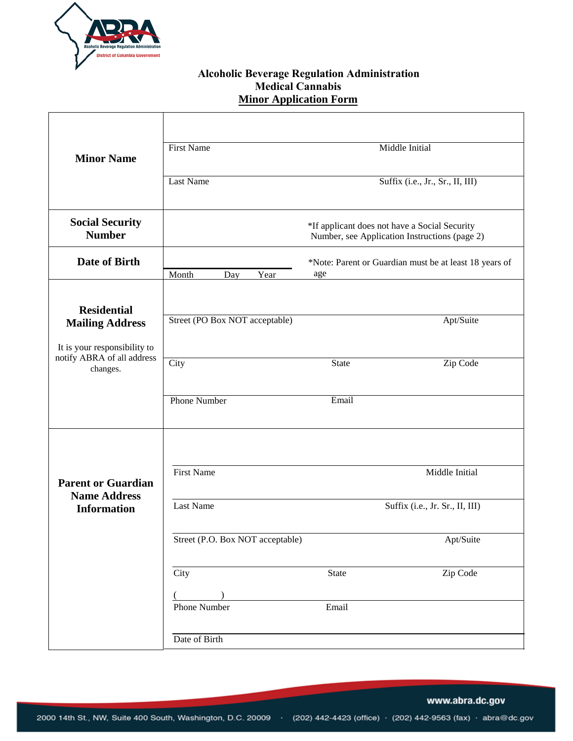

## **Alcoholic Beverage Regulation Administration Medical Cannabis Minor Application Form**

| <b>Minor Name</b>                                                                                | <b>First Name</b>                                                                              |  |                                  |                                                               | Middle Initial                  |  |
|--------------------------------------------------------------------------------------------------|------------------------------------------------------------------------------------------------|--|----------------------------------|---------------------------------------------------------------|---------------------------------|--|
|                                                                                                  | <b>Last Name</b>                                                                               |  | Suffix (i.e., Jr., Sr., II, III) |                                                               |                                 |  |
| <b>Social Security</b><br><b>Number</b>                                                          | *If applicant does not have a Social Security<br>Number, see Application Instructions (page 2) |  |                                  |                                                               |                                 |  |
| Date of Birth                                                                                    | Month<br>Year<br>Day                                                                           |  |                                  | *Note: Parent or Guardian must be at least 18 years of<br>age |                                 |  |
| <b>Residential</b>                                                                               |                                                                                                |  |                                  |                                                               |                                 |  |
| <b>Mailing Address</b><br>It is your responsibility to<br>notify ABRA of all address<br>changes. | Street (PO Box NOT acceptable)                                                                 |  |                                  |                                                               | Apt/Suite                       |  |
|                                                                                                  | City                                                                                           |  |                                  | <b>State</b>                                                  | Zip Code                        |  |
|                                                                                                  | <b>Phone Number</b>                                                                            |  | Email                            |                                                               |                                 |  |
|                                                                                                  |                                                                                                |  |                                  |                                                               |                                 |  |
|                                                                                                  |                                                                                                |  |                                  |                                                               |                                 |  |
| <b>Parent or Guardian</b><br><b>Name Address</b><br><b>Information</b>                           | <b>First Name</b>                                                                              |  |                                  |                                                               | Middle Initial                  |  |
|                                                                                                  | <b>Last Name</b>                                                                               |  |                                  |                                                               | Suffix (i.e., Jr. Sr., II, III) |  |
|                                                                                                  | Street (P.O. Box NOT acceptable)                                                               |  |                                  | Apt/Suite                                                     |                                 |  |
|                                                                                                  | City                                                                                           |  |                                  | State                                                         | Zip Code                        |  |
|                                                                                                  | Phone Number                                                                                   |  |                                  | Email                                                         |                                 |  |
|                                                                                                  | Date of Birth                                                                                  |  |                                  |                                                               |                                 |  |

www.abra.dc.gov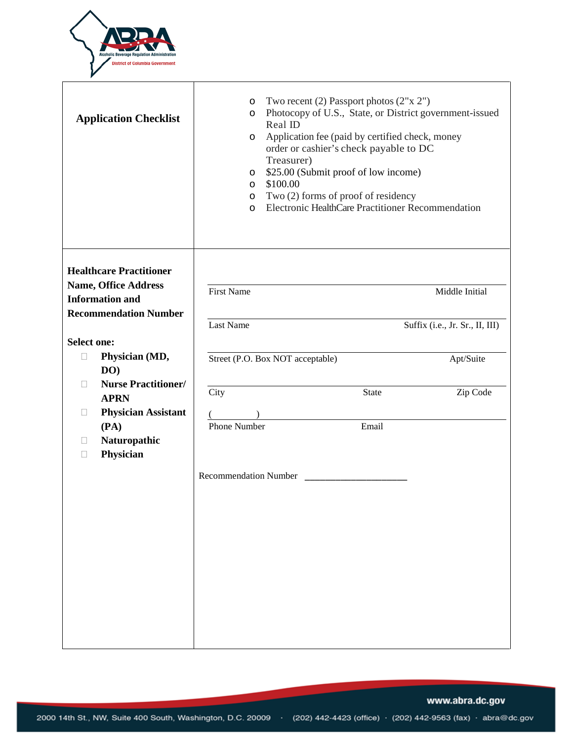

|                                                                                         | <b>Application Checklist</b>               | $\circ$<br>$\circ$<br>O<br>O<br>$\circ$<br>$\circ$<br>$\circ$ | Two recent (2) Passport photos $(2"x 2")$<br>Photocopy of U.S., State, or District government-issued<br>Real ID<br>Application fee (paid by certified check, money<br>order or cashier's check payable to DC<br>Treasurer)<br>\$25.00 (Submit proof of low income)<br>\$100.00<br>Two (2) forms of proof of residency<br>Electronic HealthCare Practitioner Recommendation |                                              |  |  |
|-----------------------------------------------------------------------------------------|--------------------------------------------|---------------------------------------------------------------|----------------------------------------------------------------------------------------------------------------------------------------------------------------------------------------------------------------------------------------------------------------------------------------------------------------------------------------------------------------------------|----------------------------------------------|--|--|
| <b>Healthcare Practitioner</b><br><b>Name, Office Address</b><br><b>Information and</b> | <b>Recommendation Number</b>               | <b>First Name</b>                                             |                                                                                                                                                                                                                                                                                                                                                                            | Middle Initial                               |  |  |
| <b>Select one:</b><br>$\Box$                                                            | Physician (MD,                             | Last Name                                                     | Street (P.O. Box NOT acceptable)                                                                                                                                                                                                                                                                                                                                           | Suffix (i.e., Jr. Sr., II, III)<br>Apt/Suite |  |  |
| DO)<br>П<br><b>APRN</b>                                                                 | <b>Nurse Practitioner/</b>                 | City                                                          | State                                                                                                                                                                                                                                                                                                                                                                      | Zip Code                                     |  |  |
| $\Box$<br>(PA)<br>П<br>Physician<br>П                                                   | <b>Physician Assistant</b><br>Naturopathic | <b>Phone Number</b>                                           | Email                                                                                                                                                                                                                                                                                                                                                                      |                                              |  |  |
|                                                                                         |                                            | <b>Recommendation Number</b>                                  |                                                                                                                                                                                                                                                                                                                                                                            |                                              |  |  |
|                                                                                         |                                            |                                                               |                                                                                                                                                                                                                                                                                                                                                                            |                                              |  |  |
|                                                                                         |                                            |                                                               |                                                                                                                                                                                                                                                                                                                                                                            |                                              |  |  |
|                                                                                         |                                            |                                                               |                                                                                                                                                                                                                                                                                                                                                                            |                                              |  |  |

www.abra.dc.gov